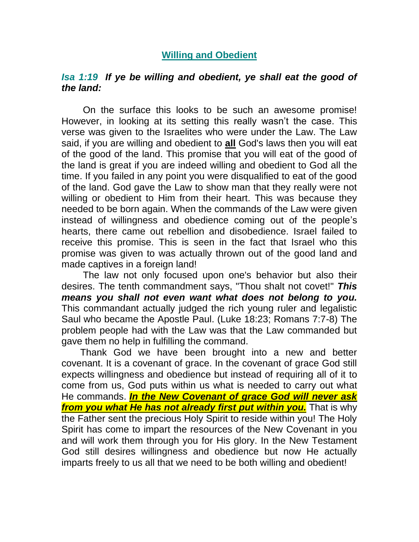## **Willing and Obedient**

## *Isa 1:19 If ye be willing and obedient, ye shall eat the good of the land:*

 On the surface this looks to be such an awesome promise! However, in looking at its setting this really wasn't the case. This verse was given to the Israelites who were under the Law. The Law said, if you are willing and obedient to **all** God's laws then you will eat of the good of the land. This promise that you will eat of the good of the land is great if you are indeed willing and obedient to God all the time. If you failed in any point you were disqualified to eat of the good of the land. God gave the Law to show man that they really were not willing or obedient to Him from their heart. This was because they needed to be born again. When the commands of the Law were given instead of willingness and obedience coming out of the people's hearts, there came out rebellion and disobedience. Israel failed to receive this promise. This is seen in the fact that Israel who this promise was given to was actually thrown out of the good land and made captives in a foreign land!

 The law not only focused upon one's behavior but also their desires. The tenth commandment says, "Thou shalt not covet!" *This means you shall not even want what does not belong to you.* This commandant actually judged the rich young ruler and legalistic Saul who became the Apostle Paul. (Luke 18:23; Romans 7:7-8) The problem people had with the Law was that the Law commanded but gave them no help in fulfilling the command.

 Thank God we have been brought into a new and better covenant. It is a covenant of grace. In the covenant of grace God still expects willingness and obedience but instead of requiring all of it to come from us, God puts within us what is needed to carry out what He commands. *In the New Covenant of grace God will never ask from you what He has not already first put within you.* That is why the Father sent the precious Holy Spirit to reside within you! The Holy Spirit has come to impart the resources of the New Covenant in you and will work them through you for His glory. In the New Testament God still desires willingness and obedience but now He actually imparts freely to us all that we need to be both willing and obedient!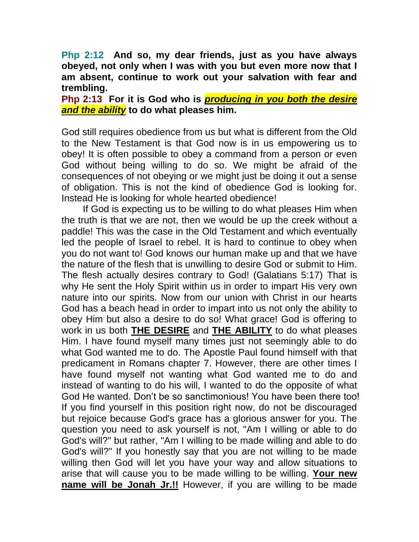**Php 2:12 And so, my dear friends, just as you have always obeyed, not only when I was with you but even more now that I am absent, continue to work out your salvation with fear and trembling.** 

**Php 2:13 For it is God who is** *producing in you both the desire and the ability* **to do what pleases him.** 

God still requires obedience from us but what is different from the Old to the New Testament is that God now is in us empowering us to obey! It is often possible to obey a command from a person or even God without being willing to do so. We might be afraid of the consequences of not obeying or we might just be doing it out a sense of obligation. This is not the kind of obedience God is looking for. Instead He is looking for whole hearted obedience!

 If God is expecting us to be willing to do what pleases Him when the truth is that we are not, then we would be up the creek without a paddle! This was the case in the Old Testament and which eventually led the people of Israel to rebel. It is hard to continue to obey when you do not want to! God knows our human make up and that we have the nature of the flesh that is unwilling to desire God or submit to Him. The flesh actually desires contrary to God! (Galatians 5:17) That is why He sent the Holy Spirit within us in order to impart His very own nature into our spirits. Now from our union with Christ in our hearts God has a beach head in order to impart into us not only the ability to obey Him but also a desire to do so! What grace! God is offering to work in us both **THE DESIRE** and **THE ABILITY** to do what pleases Him. I have found myself many times just not seemingly able to do what God wanted me to do. The Apostle Paul found himself with that predicament in Romans chapter 7. However, there are other times I have found myself not wanting what God wanted me to do and instead of wanting to do his will, I wanted to do the opposite of what God He wanted. Don't be so sanctimonious! You have been there too! If you find yourself in this position right now, do not be discouraged but rejoice because God's grace has a glorious answer for you. The question you need to ask yourself is not, "Am I willing or able to do God's will?" but rather, "Am I willing to be made willing and able to do God's will?" If you honestly say that you are not willing to be made willing then God will let you have your way and allow situations to arise that will cause you to be made willing to be willing. **Your new name will be Jonah Jr.!!** However, if you are willing to be made